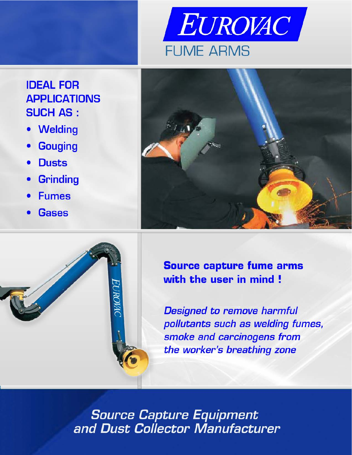

# **IDEAL FOR APPLICATIONS SUCH AS:**

- **Welding**  $\bullet$
- **Gouging**
- **Dusts**
- **Grinding**
- **Fumes**
- **Gases**

EUROWIC



**Source capture fume arms** with the user in mind!

**Designed to remove harmful** pollutants such as welding fumes, smoke and carcinogens from the worker's breathing zone

**Source Capture Equipment** and Dust Collector Manufacturer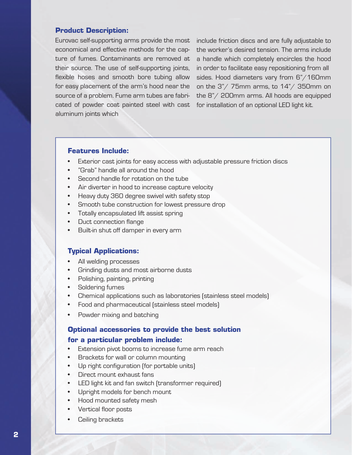#### **Product Description:**

Eurovac self-supporting arms provide the most economical and effective methods for the capture of fumes. Contaminants are removed at their source. The use of self-supporting joints, flexible hoses and smooth bore tubing allow for easy placement of the arm's hood near the source of a problem. Fume arm tubes are fabricated of powder coat painted steel with cast aluminum joints which

include friction discs and are fully adjustable to the worker's desired tension. The arms include a handle which completely encircles the hood in order to facilitate easy repositioning from all sides. Hood diameters vary from 6"/160mm on the 3"/ 75mm arms, to 14"/ 350mm on the 8"/ 200mm arms. All hoods are equipped for installation of an optional LED light kit.

#### **Features Include:**

- Exterior cast joints for easy access with adjustable pressure friction discs
- "Grab" handle all around the hood
- Second handle for rotation on the tube
- Air diverter in hood to increase capture velocity
- Heavy duty 360 degree swivel with safety stop
- Smooth tube construction for lowest pressure drop
- Totally encapsulated lift assist spring
- Duct connection flange
- Built-in shut off damper in every arm

#### **Typical Applications:**

- All welding processes
- Grinding dusts and most airborne dusts
- Polishing, painting, printing
- Soldering fumes
- Chemical applications such as laboratories (stainless steel models)
- Food and pharmaceutical (stainless steel models)
- Powder mixing and batching

# **Optional accessories to provide the best solution**

#### **for a particular problem include:**

- Extension pivot booms to increase fume arm reach
- Brackets for wall or column mounting
- Up right configuration (for portable units)
- Direct mount exhaust fans
- LED light kit and fan switch (transformer required)
- Upright models for bench mount
- Hood mounted safety mesh
- Vertical floor posts
- Ceiling brackets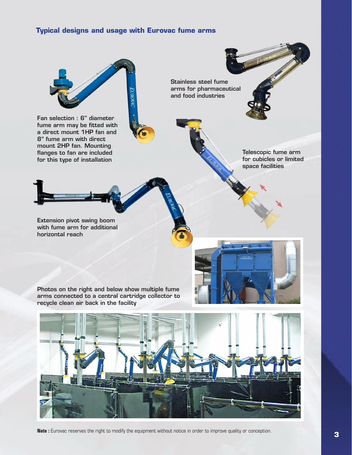### **Typical designs and usage with Eurovac fume arms**



**Note :** Eurovac reserves the right to modify the equipment without notice in order to improve quality or conception.